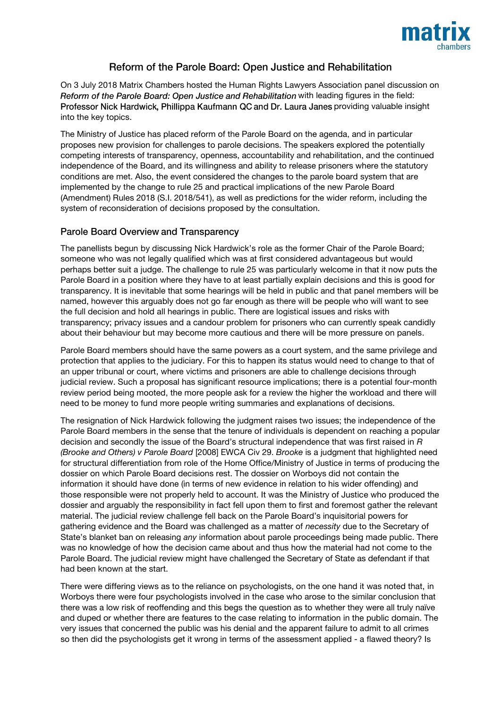

## Reform of the Parole Board: Open Justice and Rehabilitation

On 3 July 2018 Matrix Chambers hosted the Human Rights Lawyers Association panel discussion on Reform of the Parole Board: Open Justice and Rehabilitation with leading figures in the field: Professor Nick Hardwick, Phillippa Kaufmann QC and Dr. Laura Janes providing valuable insight into the key topics.

The Ministry of Justice has placed reform of the Parole Board on the agenda, and in particular proposes new provision for challenges to parole decisions. The speakers explored the potentially competing interests of transparency, openness, accountability and rehabilitation, and the continued independence of the Board, and its willingness and ability to release prisoners where the statutory conditions are met. Also, the event considered the changes to the parole board system that are implemented by the change to rule 25 and practical implications of the new Parole Board (Amendment) Rules 2018 (S.I. 2018/541), as well as predictions for the wider reform, including the system of reconsideration of decisions proposed by the consultation.

## Parole Board Overview and Transparency

The panellists begun by discussing Nick Hardwick's role as the former Chair of the Parole Board; someone who was not legally qualified which was at first considered advantageous but would perhaps better suit a judge. The challenge to rule 25 was particularly welcome in that it now puts the Parole Board in a position where they have to at least partially explain decisions and this is good for transparency. It is inevitable that some hearings will be held in public and that panel members will be named, however this arguably does not go far enough as there will be people who will want to see the full decision and hold all hearings in public. There are logistical issues and risks with transparency; privacy issues and a candour problem for prisoners who can currently speak candidly about their behaviour but may become more cautious and there will be more pressure on panels.

Parole Board members should have the same powers as a court system, and the same privilege and protection that applies to the judiciary. For this to happen its status would need to change to that of an upper tribunal or court, where victims and prisoners are able to challenge decisions through judicial review. Such a proposal has significant resource implications; there is a potential four-month review period being mooted, the more people ask for a review the higher the workload and there will need to be money to fund more people writing summaries and explanations of decisions.

The resignation of Nick Hardwick following the judgment raises two issues; the independence of the Parole Board members in the sense that the tenure of individuals is dependent on reaching a popular decision and secondly the issue of the Board's structural independence that was first raised in *R (Brooke and Others) v Parole Board* [2008] EWCA Civ 29. *Brooke* is a judgment that highlighted need for structural differentiation from role of the Home Office/Ministry of Justice in terms of producing the dossier on which Parole Board decisions rest. The dossier on Worboys did not contain the information it should have done (in terms of new evidence in relation to his wider offending) and those responsible were not properly held to account. It was the Ministry of Justice who produced the dossier and arguably the responsibility in fact fell upon them to first and foremost gather the relevant material. The judicial review challenge fell back on the Parole Board's inquisitorial powers for gathering evidence and the Board was challenged as a matter of *necessity* due to the Secretary of State's blanket ban on releasing *any* information about parole proceedings being made public. There was no knowledge of how the decision came about and thus how the material had not come to the Parole Board. The judicial review might have challenged the Secretary of State as defendant if that had been known at the start.

There were differing views as to the reliance on psychologists, on the one hand it was noted that, in Worboys there were four psychologists involved in the case who arose to the similar conclusion that there was a low risk of reoffending and this begs the question as to whether they were all truly naïve and duped or whether there are features to the case relating to information in the public domain. The very issues that concerned the public was his denial and the apparent failure to admit to all crimes so then did the psychologists get it wrong in terms of the assessment applied - a flawed theory? Is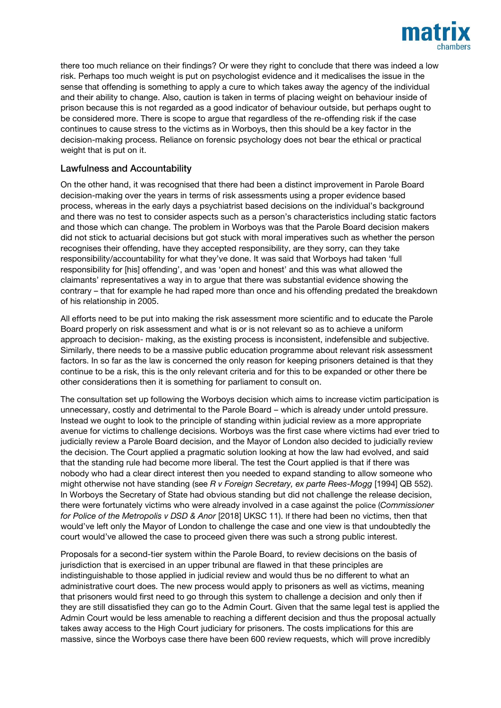

there too much reliance on their findings? Or were they right to conclude that there was indeed a low risk. Perhaps too much weight is put on psychologist evidence and it medicalises the issue in the sense that offending is something to apply a cure to which takes away the agency of the individual and their ability to change. Also, caution is taken in terms of placing weight on behaviour inside of prison because this is not regarded as a good indicator of behaviour outside, but perhaps ought to be considered more. There is scope to argue that regardless of the re-offending risk if the case continues to cause stress to the victims as in Worboys, then this should be a key factor in the decision-making process. Reliance on forensic psychology does not bear the ethical or practical weight that is put on it.

## **Lawfulness and Accountability**

On the other hand, it was recognised that there had been a distinct improvement in Parole Board decision-making over the years in terms of risk assessments using a proper evidence based process, whereas in the early days a psychiatrist based decisions on the individual's background and there was no test to consider aspects such as a person's characteristics including static factors and those which can change. The problem in Worboys was that the Parole Board decision makers did not stick to actuarial decisions but got stuck with moral imperatives such as whether the person recognises their offending, have they accepted responsibility, are they sorry, can they take responsibility/accountability for what they've done. It was said that Worboys had taken 'full responsibility for [his] offending', and was 'open and honest' and this was what allowed the claimants' representatives a way in to argue that there was substantial evidence showing the contrary – that for example he had raped more than once and his offending predated the breakdown of his relationship in 2005.

All efforts need to be put into making the risk assessment more scientific and to educate the Parole Board properly on risk assessment and what is or is not relevant so as to achieve a uniform approach to decision- making, as the existing process is inconsistent, indefensible and subjective. Similarly, there needs to be a massive public education programme about relevant risk assessment factors. In so far as the law is concerned the only reason for keeping prisoners detained is that they continue to be a risk, this is the only relevant criteria and for this to be expanded or other there be other considerations then it is something for parliament to consult on.

The consultation set up following the Worboys decision which aims to increase victim participation is unnecessary, costly and detrimental to the Parole Board – which is already under untold pressure. Instead we ought to look to the principle of standing within judicial review as a more appropriate avenue for victims to challenge decisions. Worboys was the first case where victims had ever tried to judicially review a Parole Board decision, and the Mayor of London also decided to judicially review the decision. The Court applied a pragmatic solution looking at how the law had evolved, and said that the standing rule had become more liberal. The test the Court applied is that if there was nobody who had a clear direct interest then you needed to expand standing to allow someone who might otherwise not have standing (see *R v Foreign Secretary, ex parte Rees-Mogg* [1994] QB 552). In Worboys the Secretary of State had obvious standing but did not challenge the release decision, there were fortunately victims who were already involved in a case against the police (*Commissioner for Police of the Metropolis v DSD & Anor* [2018] UKSC 11). If there had been no victims, then that would've left only the Mayor of London to challenge the case and one view is that undoubtedly the court would've allowed the case to proceed given there was such a strong public interest.

Proposals for a second-tier system within the Parole Board, to review decisions on the basis of jurisdiction that is exercised in an upper tribunal are flawed in that these principles are indistinguishable to those applied in judicial review and would thus be no different to what an administrative court does. The new process would apply to prisoners as well as victims, meaning that prisoners would first need to go through this system to challenge a decision and only then if they are still dissatisfied they can go to the Admin Court. Given that the same legal test is applied the Admin Court would be less amenable to reaching a different decision and thus the proposal actually takes away access to the High Court judiciary for prisoners. The costs implications for this are massive, since the Worboys case there have been 600 review requests, which will prove incredibly